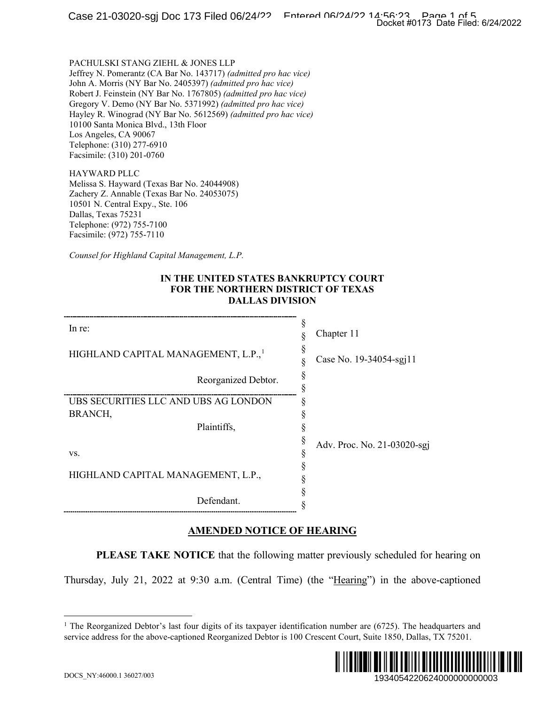#### **IN THE UNITED STATES BANKRUPTCY COURT FOR THE NORTHERN DISTRICT OF TEXAS DALLAS DIVISION**

|                                                                                                                                                                                                                                                                                                                                                                                                                                                                                                        | Docket #0173 Date Filed: 6/24/2022 |
|--------------------------------------------------------------------------------------------------------------------------------------------------------------------------------------------------------------------------------------------------------------------------------------------------------------------------------------------------------------------------------------------------------------------------------------------------------------------------------------------------------|------------------------------------|
| PACHULSKI STANG ZIEHL & JONES LLP<br>Jeffrey N. Pomerantz (CA Bar No. 143717) (admitted pro hac vice)<br>John A. Morris (NY Bar No. 2405397) (admitted pro hac vice)<br>Robert J. Feinstein (NY Bar No. 1767805) (admitted pro hac vice)<br>Gregory V. Demo (NY Bar No. 5371992) (admitted pro hac vice)<br>Hayley R. Winograd (NY Bar No. 5612569) (admitted pro hac vice)<br>10100 Santa Monica Blvd., 13th Floor<br>Los Angeles, CA 90067<br>Telephone: (310) 277-6910<br>Facsimile: (310) 201-0760 |                                    |
| <b>HAYWARD PLLC</b><br>Melissa S. Hayward (Texas Bar No. 24044908)<br>Zachery Z. Annable (Texas Bar No. 24053075)<br>10501 N. Central Expy., Ste. 106<br>Dallas, Texas 75231<br>Telephone: (972) 755-7100<br>Facsimile: (972) 755-7110                                                                                                                                                                                                                                                                 |                                    |
| Counsel for Highland Capital Management, L.P.                                                                                                                                                                                                                                                                                                                                                                                                                                                          |                                    |
| IN THE UNITED STATES BANKRUPTCY COURT<br>FOR THE NORTHERN DISTRICT OF TEXAS<br><b>DALLAS DIVISION</b>                                                                                                                                                                                                                                                                                                                                                                                                  |                                    |
| In re:                                                                                                                                                                                                                                                                                                                                                                                                                                                                                                 | ş<br>Chapter 11<br>§               |
| HIGHLAND CAPITAL MANAGEMENT, L.P., <sup>1</sup>                                                                                                                                                                                                                                                                                                                                                                                                                                                        | ş<br>Case No. 19-34054-sgj11<br>§  |
| Reorganized Debtor.                                                                                                                                                                                                                                                                                                                                                                                                                                                                                    | §<br>§                             |
| UBS SECURITIES LLC AND UBS AG LONDON<br>BRANCH,                                                                                                                                                                                                                                                                                                                                                                                                                                                        | ş<br>§                             |
| Plaintiffs,                                                                                                                                                                                                                                                                                                                                                                                                                                                                                            | ş<br>§                             |
| VS.                                                                                                                                                                                                                                                                                                                                                                                                                                                                                                    | Adv. Proc. No. 21-03020-sgj<br>ş   |
| HIGHLAND CAPITAL MANAGEMENT, L.P.,                                                                                                                                                                                                                                                                                                                                                                                                                                                                     | §<br>§                             |
| Defendant.                                                                                                                                                                                                                                                                                                                                                                                                                                                                                             | §                                  |
| <b>AMENDED NOTICE OF HEARING</b>                                                                                                                                                                                                                                                                                                                                                                                                                                                                       |                                    |
| <b>PLEASE TAKE NOTICE</b> that the following matter previously scheduled for hearing on                                                                                                                                                                                                                                                                                                                                                                                                                |                                    |
| Thursday, July 21, 2022 at 9:30 a.m. (Central Time) (the "Hearing") in the above-captioned                                                                                                                                                                                                                                                                                                                                                                                                             |                                    |
|                                                                                                                                                                                                                                                                                                                                                                                                                                                                                                        |                                    |
| <sup>1</sup> The Reorganized Debtor's last four digits of its taxpayer identification number are $(6725)$ . The headquarters and<br>service address for the above-captioned Reorganized Debtor is 100 Crescent Court, Suite 1850, Dallas, TX 75201.                                                                                                                                                                                                                                                    |                                    |
|                                                                                                                                                                                                                                                                                                                                                                                                                                                                                                        |                                    |
| DOCS_NY:46000.1 36027/003                                                                                                                                                                                                                                                                                                                                                                                                                                                                              | 1934054220624000000000003          |

### **AMENDED NOTICE OF HEARING**

<span id="page-0-0"></span><sup>&</sup>lt;sup>1</sup> The Reorganized Debtor's last four digits of its taxpayer identification number are  $(6725)$ . The headquarters and service address for the above-captioned Reorganized Debtor is 100 Crescent Court, Suite 1850, Dallas, TX 75201.

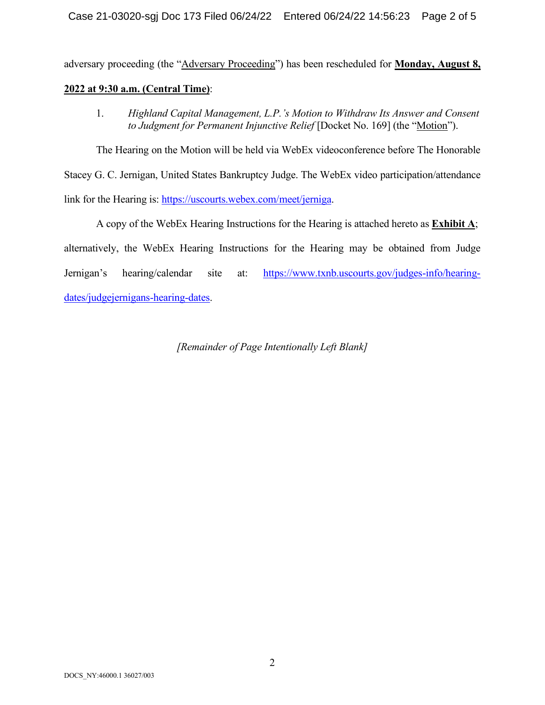adversary proceeding (the "Adversary Proceeding") has been rescheduled for **Monday, August 8, 2022 at 9:30 a.m. (Central Time)**:

1. *Highland Capital Management, L.P.'s Motion to Withdraw Its Answer and Consent to Judgment for Permanent Injunctive Relief* [Docket No. 169] (the "Motion").

The Hearing on the Motion will be held via WebEx videoconference before The Honorable Stacey G. C. Jernigan, United States Bankruptcy Judge. The WebEx video participation/attendance link for the Hearing is: [https://uscourts.webex.com/meet/jerniga.](https://uscourts.webex.com/meet/jerniga)

A copy of the WebEx Hearing Instructions for the Hearing is attached hereto as **Exhibit A**; alternatively, the WebEx Hearing Instructions for the Hearing may be obtained from Judge Jernigan's hearing/calendar site at: [https://www.txnb.uscourts.gov/judges-info/hearing](https://www.txnb.uscourts.gov/judges-info/hearing-dates/judgejernigans-hearing-dates)[dates/judgejernigans-hearing-dates.](https://www.txnb.uscourts.gov/judges-info/hearing-dates/judgejernigans-hearing-dates)

*[Remainder of Page Intentionally Left Blank]*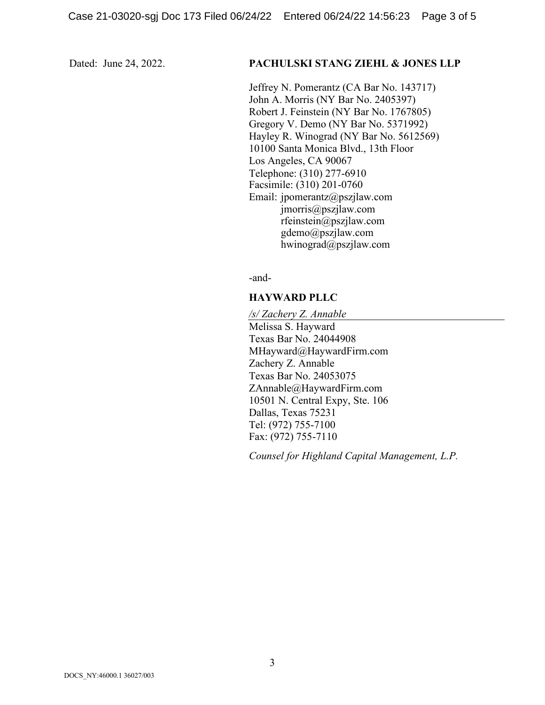#### Dated: June 24, 2022. **PACHULSKI STANG ZIEHL & JONES LLP**

Jeffrey N. Pomerantz (CA Bar No. 143717) John A. Morris (NY Bar No. 2405397) Robert J. Feinstein (NY Bar No. 1767805) Gregory V. Demo (NY Bar No. 5371992) Hayley R. Winograd (NY Bar No. 5612569) 10100 Santa Monica Blvd., 13th Floor Los Angeles, CA 90067 Telephone: (310) 277-6910 Facsimile: (310) 201-0760 Email: jpomerantz@pszjlaw.com jmorris@pszjlaw.com rfeinstein@pszjlaw.com gdemo@pszjlaw.com hwinograd@pszjlaw.com

-and-

#### **HAYWARD PLLC**

*/s/ Zachery Z. Annable* Melissa S. Hayward Texas Bar No. 24044908 MHayward@HaywardFirm.com Zachery Z. Annable Texas Bar No. 24053075 ZAnnable@HaywardFirm.com 10501 N. Central Expy, Ste. 106 Dallas, Texas 75231 Tel: (972) 755-7100 Fax: (972) 755-7110

*Counsel for Highland Capital Management, L.P.*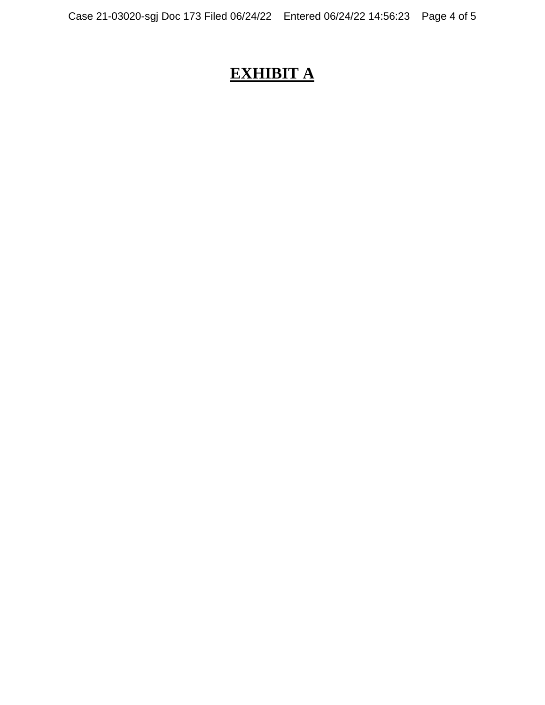# **EXHIBIT A**